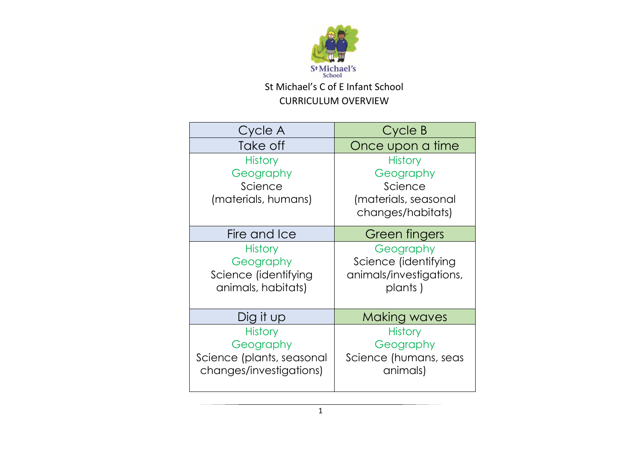

| Cycle A                   | Cycle B                 |
|---------------------------|-------------------------|
| Take off                  | Once upon a time        |
| <b>History</b>            | <b>History</b>          |
| Geography                 | Geography               |
| Science                   | Science                 |
| (materials, humans)       | (materials, seasonal    |
|                           | changes/habitats)       |
| Fire and Ice              | Green fingers           |
| <b>History</b>            | Geography               |
| Geography                 | Science (identifying    |
| Science (identifying      | animals/investigations, |
| animals, habitats)        | plants)                 |
|                           |                         |
| Dig it up                 | <b>Making waves</b>     |
| <b>History</b>            | <b>History</b>          |
| Geography                 | Geography               |
| Science (plants, seasonal | Science (humans, seas   |
| changes/investigations)   | animals)                |
|                           |                         |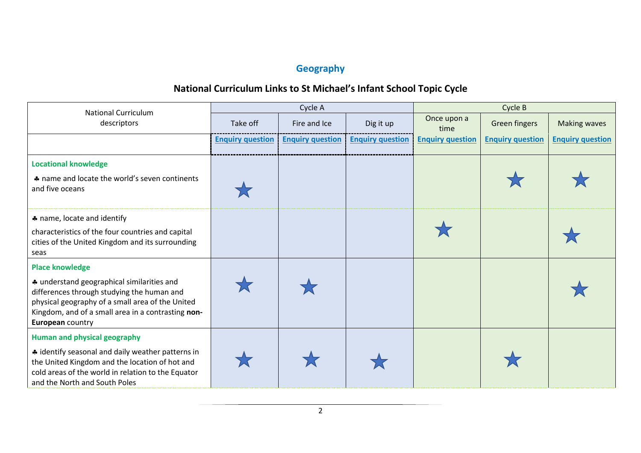## **Geography**

| <b>National Curriculum</b>                                                                                                                                                                                                                       |                         | Cycle A                 |                         | Cycle B                 |                         |                         |
|--------------------------------------------------------------------------------------------------------------------------------------------------------------------------------------------------------------------------------------------------|-------------------------|-------------------------|-------------------------|-------------------------|-------------------------|-------------------------|
| descriptors                                                                                                                                                                                                                                      | Take off                | Fire and Ice            | Dig it up               | Once upon a<br>time     | <b>Green fingers</b>    | <b>Making waves</b>     |
|                                                                                                                                                                                                                                                  | <b>Enquiry question</b> | <b>Enquiry question</b> | <b>Enquiry question</b> | <b>Enquiry question</b> | <b>Enquiry question</b> | <b>Enquiry question</b> |
| <b>Locational knowledge</b><br>A name and locate the world's seven continents<br>and five oceans                                                                                                                                                 |                         |                         |                         |                         |                         |                         |
| * name, locate and identify<br>characteristics of the four countries and capital<br>cities of the United Kingdom and its surrounding<br>seas                                                                                                     |                         |                         |                         |                         |                         |                         |
| <b>Place knowledge</b><br>* understand geographical similarities and<br>differences through studying the human and<br>physical geography of a small area of the United<br>Kingdom, and of a small area in a contrasting non-<br>European country |                         |                         |                         |                         |                         |                         |
| <b>Human and physical geography</b><br>* identify seasonal and daily weather patterns in<br>the United Kingdom and the location of hot and<br>cold areas of the world in relation to the Equator<br>and the North and South Poles                |                         |                         |                         |                         |                         |                         |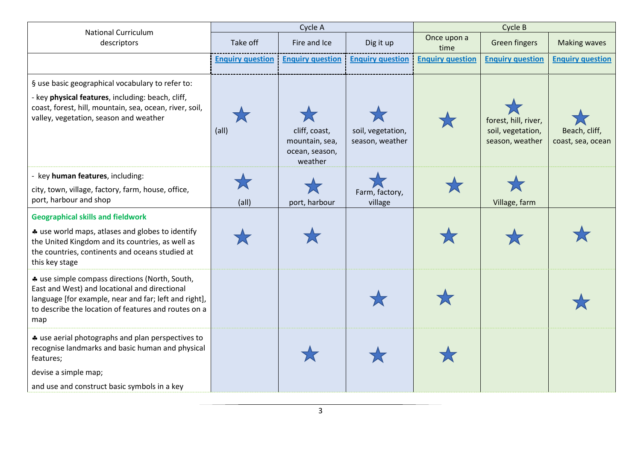| <b>National Curriculum</b>                                                                                                                                                                                              | Cycle A                   |                                                              |                                      | Cycle B                 |                                                              |                                    |  |
|-------------------------------------------------------------------------------------------------------------------------------------------------------------------------------------------------------------------------|---------------------------|--------------------------------------------------------------|--------------------------------------|-------------------------|--------------------------------------------------------------|------------------------------------|--|
| descriptors                                                                                                                                                                                                             | Take off                  | Fire and Ice                                                 | Dig it up                            | Once upon a<br>time     | <b>Green fingers</b>                                         | <b>Making waves</b>                |  |
|                                                                                                                                                                                                                         | <b>Enquiry question</b>   | <b>Enquiry question</b>                                      | <b>Enquiry question</b>              | <b>Enquiry question</b> | <b>Enquiry question</b>                                      | <b>Enquiry question</b>            |  |
| § use basic geographical vocabulary to refer to:<br>- key physical features, including: beach, cliff,<br>coast, forest, hill, mountain, sea, ocean, river, soil,<br>valley, vegetation, season and weather              | $\overline{\text{(all)}}$ | cliff, coast,<br>mountain, sea,<br>ocean, season,<br>weather | soil, vegetation,<br>season, weather |                         | forest, hill, river,<br>soil, vegetation,<br>season, weather | Beach, cliff,<br>coast, sea, ocean |  |
| key human features, including:<br>city, town, village, factory, farm, house, office,<br>port, harbour and shop                                                                                                          | (all)                     | port, harbour                                                | Farm, factory,<br>village            |                         | Village, farm                                                |                                    |  |
| <b>Geographical skills and fieldwork</b><br>* use world maps, atlases and globes to identify<br>the United Kingdom and its countries, as well as<br>the countries, continents and oceans studied at<br>this key stage   |                           |                                                              |                                      |                         |                                                              |                                    |  |
| * use simple compass directions (North, South,<br>East and West) and locational and directional<br>language [for example, near and far; left and right],<br>to describe the location of features and routes on a<br>map |                           |                                                              |                                      |                         |                                                              |                                    |  |
| * use aerial photographs and plan perspectives to<br>recognise landmarks and basic human and physical<br>features;<br>devise a simple map;<br>and use and construct basic symbols in a key                              |                           |                                                              |                                      |                         |                                                              |                                    |  |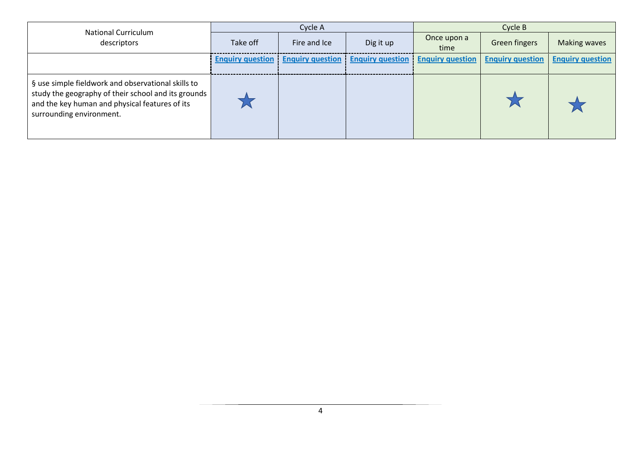| <b>National Curriculum</b>                                                                                                                                                              |          | Cycle A                                                   |           | Cycle B                 |                         |                         |
|-----------------------------------------------------------------------------------------------------------------------------------------------------------------------------------------|----------|-----------------------------------------------------------|-----------|-------------------------|-------------------------|-------------------------|
| descriptors                                                                                                                                                                             | Take off | Fire and Ice                                              | Dig it up | Once upon a<br>time     | <b>Green fingers</b>    | <b>Making waves</b>     |
|                                                                                                                                                                                         |          | <b>Enquiry question</b> Enquiry question Enquiry question |           | <b>Enquiry question</b> | <b>Enquiry question</b> | <b>Enquiry question</b> |
| § use simple fieldwork and observational skills to<br>study the geography of their school and its grounds<br>and the key human and physical features of its<br>surrounding environment. |          |                                                           |           |                         |                         |                         |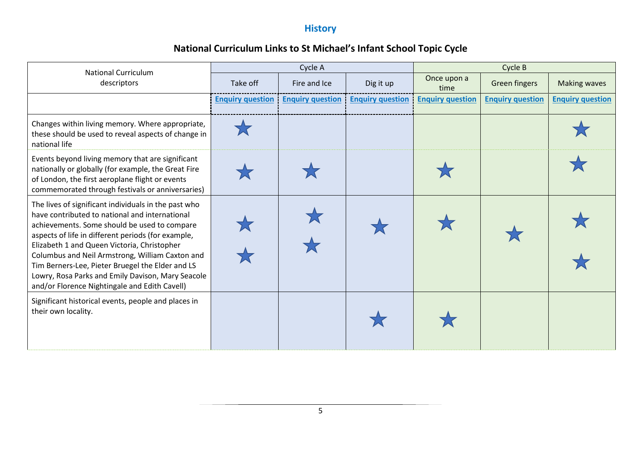## **History**

| <b>National Curriculum</b>                                                                                                                                                                                                                                                                                                                                                                                                                                               |                         | Cycle A                 |                         | Cycle B                 |                         |                         |
|--------------------------------------------------------------------------------------------------------------------------------------------------------------------------------------------------------------------------------------------------------------------------------------------------------------------------------------------------------------------------------------------------------------------------------------------------------------------------|-------------------------|-------------------------|-------------------------|-------------------------|-------------------------|-------------------------|
| descriptors                                                                                                                                                                                                                                                                                                                                                                                                                                                              | Take off                | Fire and Ice            | Dig it up               | Once upon a<br>time     | <b>Green fingers</b>    | <b>Making waves</b>     |
|                                                                                                                                                                                                                                                                                                                                                                                                                                                                          | <b>Enquiry question</b> | <b>Enquiry question</b> | <b>Enquiry question</b> | <b>Enquiry question</b> | <b>Enquiry question</b> | <b>Enquiry question</b> |
| Changes within living memory. Where appropriate,<br>these should be used to reveal aspects of change in<br>national life                                                                                                                                                                                                                                                                                                                                                 |                         |                         |                         |                         |                         |                         |
| Events beyond living memory that are significant<br>nationally or globally (for example, the Great Fire<br>of London, the first aeroplane flight or events<br>commemorated through festivals or anniversaries)                                                                                                                                                                                                                                                           |                         |                         |                         |                         |                         |                         |
| The lives of significant individuals in the past who<br>have contributed to national and international<br>achievements. Some should be used to compare<br>aspects of life in different periods (for example,<br>Elizabeth 1 and Queen Victoria, Christopher<br>Columbus and Neil Armstrong, William Caxton and<br>Tim Berners-Lee, Pieter Bruegel the Elder and LS<br>Lowry, Rosa Parks and Emily Davison, Mary Seacole<br>and/or Florence Nightingale and Edith Cavell) |                         |                         |                         |                         |                         |                         |
| Significant historical events, people and places in<br>their own locality.                                                                                                                                                                                                                                                                                                                                                                                               |                         |                         |                         |                         |                         |                         |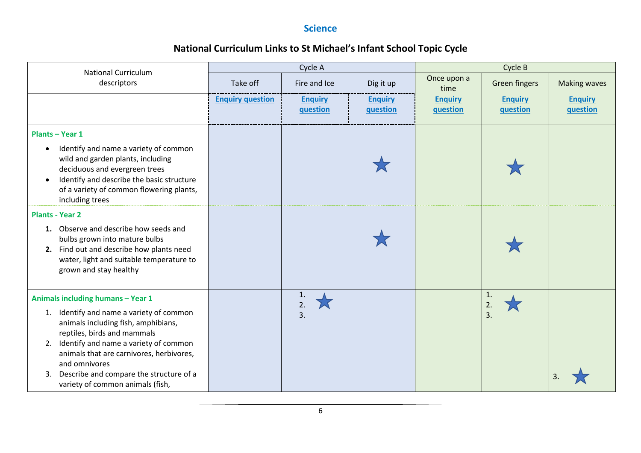### **Science**

| <b>National Curriculum</b>                                                                                                                                                                                                           |                         | Cycle A                    |                            | Cycle B                    |                            |                            |
|--------------------------------------------------------------------------------------------------------------------------------------------------------------------------------------------------------------------------------------|-------------------------|----------------------------|----------------------------|----------------------------|----------------------------|----------------------------|
| descriptors                                                                                                                                                                                                                          | Take off                | Fire and Ice               | Dig it up                  | Once upon a<br>time        | <b>Green fingers</b>       | <b>Making waves</b>        |
|                                                                                                                                                                                                                                      | <b>Enquiry question</b> | <b>Enquiry</b><br>question | <b>Enquiry</b><br>question | <b>Enquiry</b><br>question | <b>Enquiry</b><br>question | <b>Enquiry</b><br>question |
| <b>Plants - Year 1</b>                                                                                                                                                                                                               |                         |                            |                            |                            |                            |                            |
| Identify and name a variety of common<br>$\bullet$<br>wild and garden plants, including<br>deciduous and evergreen trees<br>Identify and describe the basic structure<br>of a variety of common flowering plants,<br>including trees |                         |                            |                            |                            |                            |                            |
| <b>Plants - Year 2</b>                                                                                                                                                                                                               |                         |                            |                            |                            |                            |                            |
| 1. Observe and describe how seeds and<br>bulbs grown into mature bulbs<br>2. Find out and describe how plants need<br>water, light and suitable temperature to<br>grown and stay healthy                                             |                         |                            |                            |                            |                            |                            |
| Animals including humans - Year 1                                                                                                                                                                                                    |                         | 1.                         |                            |                            | $\mathbf{1}$               |                            |
| 1. Identify and name a variety of common<br>animals including fish, amphibians,<br>reptiles, birds and mammals<br>Identify and name a variety of common<br>2.<br>animals that are carnivores, herbivores,<br>and omnivores           |                         | 2.<br>3.                   |                            |                            | 2.<br>3.                   |                            |
| Describe and compare the structure of a<br>3.<br>variety of common animals (fish,                                                                                                                                                    |                         |                            |                            |                            |                            |                            |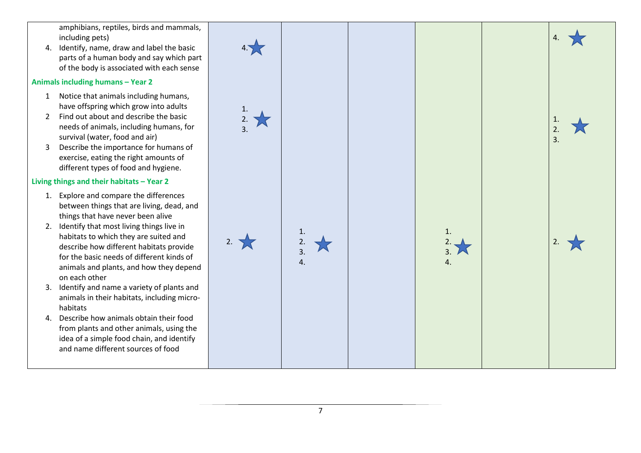amphibians, reptiles, birds and mammals, including pets)

4. Identify, name, draw and label the basic parts of a human body and say which part of the body is associated with each sense

#### **Animals including humans – Year 2**

- 1 Notice that animals including humans, have offspring which grow into adults
- 2 Find out about and describe the basic needs of animals, including humans, for survival (water, food and air)
- 3 Describe the importance for humans of exercise, eating the right amounts of different types of food and hygiene.

#### **Living things and their habitats – Year 2**

- 1. Explore and compare the differences between things that are living, dead, and things that have never been alive
- 2. Identify that most living things live in habitats to which they are suited and describe how different habitats provide for the basic needs of different kinds of animals and plants, and how they depend on each other
- 3. Identify and name a variety of plants and animals in their habitats, including micro habitats
- 4. Describe how animals obtain their food from plants and other animals, using the idea of a simple food chain, and identify and name different sources of food

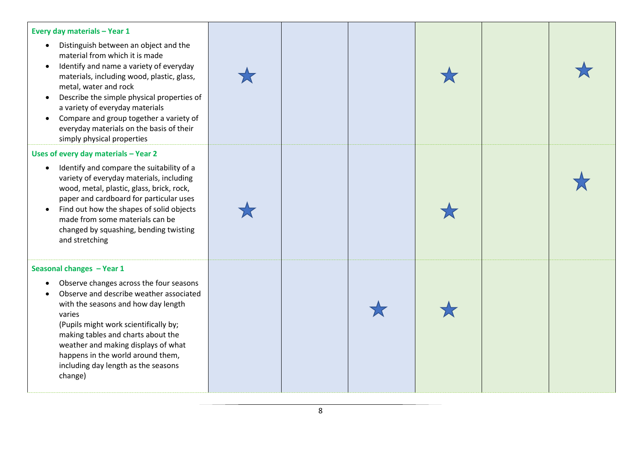

8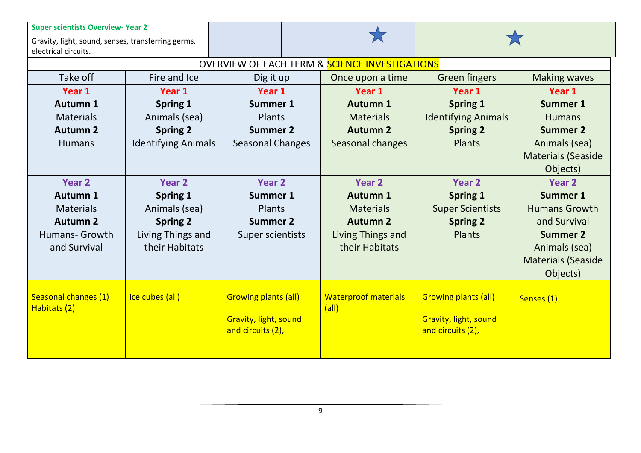| <b>Super scientists Overview- Year 2</b><br>Gravity, light, sound, senses, transferring germs,<br>electrical circuits. |                            |                                                           |       |                             |                              |            |                           |
|------------------------------------------------------------------------------------------------------------------------|----------------------------|-----------------------------------------------------------|-------|-----------------------------|------------------------------|------------|---------------------------|
|                                                                                                                        |                            | <b>OVERVIEW OF EACH TERM &amp; SCIENCE INVESTIGATIONS</b> |       |                             |                              |            |                           |
| Take off                                                                                                               | Fire and Ice               | Dig it up                                                 |       | Once upon a time            | <b>Green fingers</b>         |            | <b>Making waves</b>       |
| Year 1                                                                                                                 | Year 1                     | Year 1                                                    |       | Year 1                      | Year 1                       | Year 1     |                           |
| Autumn 1                                                                                                               | Spring 1                   | <b>Summer 1</b>                                           |       | <b>Autumn 1</b>             | <b>Spring 1</b>              |            | <b>Summer 1</b>           |
| <b>Materials</b>                                                                                                       | Animals (sea)              | Plants                                                    |       | <b>Materials</b>            | <b>Identifying Animals</b>   |            | <b>Humans</b>             |
| <b>Autumn 2</b>                                                                                                        | <b>Spring 2</b>            | <b>Summer 2</b>                                           |       | <b>Autumn 2</b>             | <b>Spring 2</b>              |            | <b>Summer 2</b>           |
| <b>Humans</b>                                                                                                          | <b>Identifying Animals</b> | <b>Seasonal Changes</b>                                   |       | Seasonal changes            | Plants                       |            | Animals (sea)             |
|                                                                                                                        |                            |                                                           |       |                             |                              |            | <b>Materials (Seaside</b> |
|                                                                                                                        |                            |                                                           |       |                             |                              |            | Objects)                  |
| Year <sub>2</sub>                                                                                                      | Year 2                     | Year <sub>2</sub>                                         |       | <b>Year 2</b>               | Year 2                       |            | <b>Year 2</b>             |
| <b>Autumn 1</b>                                                                                                        | <b>Spring 1</b>            | <b>Summer 1</b>                                           |       | <b>Autumn 1</b>             | <b>Spring 1</b>              |            | <b>Summer 1</b>           |
| <b>Materials</b>                                                                                                       | Animals (sea)              | Plants                                                    |       | <b>Materials</b>            | <b>Super Scientists</b>      |            | <b>Humans Growth</b>      |
| <b>Autumn 2</b>                                                                                                        | <b>Spring 2</b>            | <b>Summer 2</b>                                           |       | <b>Autumn 2</b>             | <b>Spring 2</b>              |            | and Survival              |
| <b>Humans- Growth</b>                                                                                                  | Living Things and          | Super scientists                                          |       | Living Things and           | Plants                       |            | <b>Summer 2</b>           |
| and Survival                                                                                                           | their Habitats             |                                                           |       | their Habitats              |                              |            | Animals (sea)             |
|                                                                                                                        |                            |                                                           |       |                             |                              |            | <b>Materials (Seaside</b> |
|                                                                                                                        |                            |                                                           |       |                             |                              |            | Objects)                  |
|                                                                                                                        |                            |                                                           |       |                             |                              |            |                           |
| Seasonal changes (1)<br>Habitats (2)                                                                                   | Ice cubes (all)            | <b>Growing plants (all)</b>                               | (a  ) | <b>Waterproof materials</b> | <b>Growing plants (all)</b>  | Senses (1) |                           |
|                                                                                                                        |                            | Gravity, light, sound                                     |       |                             | <b>Gravity, light, sound</b> |            |                           |
|                                                                                                                        |                            | and circuits (2),                                         |       |                             | and circuits (2),            |            |                           |
|                                                                                                                        |                            |                                                           |       |                             |                              |            |                           |
|                                                                                                                        |                            |                                                           |       |                             |                              |            |                           |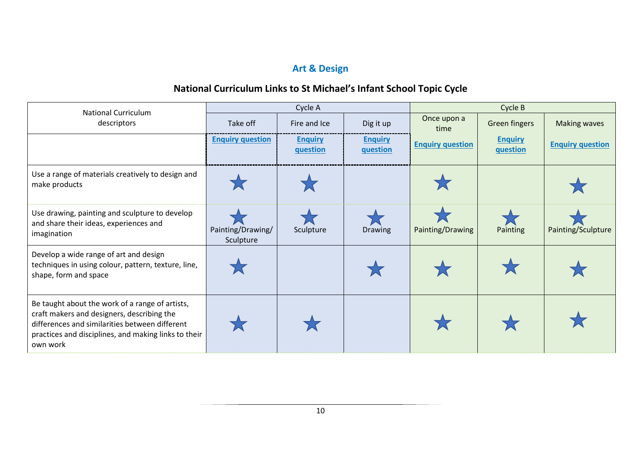## **Art & Design**

| <b>National Curriculum</b>                                                                                                                                                                                          |                                | Cycle A                    |                            | Cycle B                 |                            |                         |  |
|---------------------------------------------------------------------------------------------------------------------------------------------------------------------------------------------------------------------|--------------------------------|----------------------------|----------------------------|-------------------------|----------------------------|-------------------------|--|
| descriptors                                                                                                                                                                                                         | Take off                       | Fire and Ice               | Dig it up                  | Once upon a<br>time     | <b>Green fingers</b>       | <b>Making waves</b>     |  |
|                                                                                                                                                                                                                     | <b>Enquiry question</b>        | <b>Enquiry</b><br>question | <b>Enquiry</b><br>question | <b>Enquiry question</b> | <b>Enquiry</b><br>question | <b>Enquiry question</b> |  |
| Use a range of materials creatively to design and<br>make products                                                                                                                                                  |                                |                            |                            |                         |                            |                         |  |
| Use drawing, painting and sculpture to develop<br>and share their ideas, experiences and<br>imagination                                                                                                             | Painting/Drawing/<br>Sculpture | Sculpture                  | <b>Drawing</b>             | Painting/Drawing        | Painting                   | Painting/Sculpture      |  |
| Develop a wide range of art and design<br>techniques in using colour, pattern, texture, line,<br>shape, form and space                                                                                              |                                |                            |                            |                         |                            |                         |  |
| Be taught about the work of a range of artists,<br>craft makers and designers, describing the<br>differences and similarities between different<br>practices and disciplines, and making links to their<br>own work |                                |                            |                            |                         |                            |                         |  |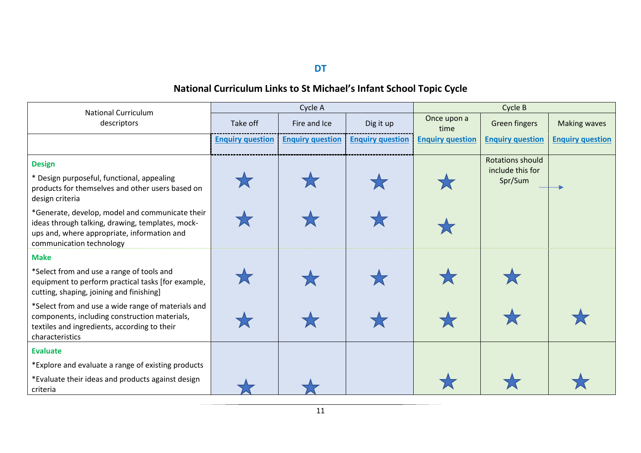**DT**

| <b>National Curriculum</b>                                                                                                                                                     |                         | Cycle A                 |                         | Cycle B                 |                                                        |                         |  |
|--------------------------------------------------------------------------------------------------------------------------------------------------------------------------------|-------------------------|-------------------------|-------------------------|-------------------------|--------------------------------------------------------|-------------------------|--|
| descriptors                                                                                                                                                                    | Take off                | Fire and Ice            | Dig it up               | Once upon a<br>time     | Green fingers                                          | <b>Making waves</b>     |  |
|                                                                                                                                                                                | <b>Enquiry question</b> | <b>Enquiry question</b> | <b>Enquiry question</b> | <b>Enquiry question</b> | <b>Enquiry question</b>                                | <b>Enquiry question</b> |  |
| <b>Design</b><br>* Design purposeful, functional, appealing<br>products for themselves and other users based on<br>design criteria                                             |                         |                         |                         |                         | <b>Rotations should</b><br>include this for<br>Spr/Sum |                         |  |
| *Generate, develop, model and communicate their<br>ideas through talking, drawing, templates, mock-<br>ups and, where appropriate, information and<br>communication technology |                         |                         |                         |                         |                                                        |                         |  |
| <b>Make</b>                                                                                                                                                                    |                         |                         |                         |                         |                                                        |                         |  |
| *Select from and use a range of tools and<br>equipment to perform practical tasks [for example,<br>cutting, shaping, joining and finishing]                                    |                         |                         |                         |                         |                                                        |                         |  |
| *Select from and use a wide range of materials and<br>components, including construction materials,<br>textiles and ingredients, according to their<br>characteristics         |                         |                         |                         |                         |                                                        |                         |  |
| <b>Evaluate</b>                                                                                                                                                                |                         |                         |                         |                         |                                                        |                         |  |
| *Explore and evaluate a range of existing products                                                                                                                             |                         |                         |                         |                         |                                                        |                         |  |
| *Evaluate their ideas and products against design<br>criteria                                                                                                                  |                         |                         |                         |                         |                                                        |                         |  |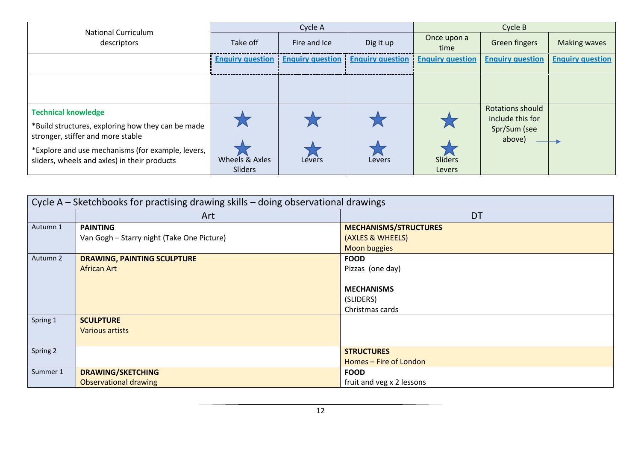| <b>National Curriculum</b>                                                                                                                                                                                                |                           | Cycle A                 |                         | Cycle B                  |                                                                       |                         |
|---------------------------------------------------------------------------------------------------------------------------------------------------------------------------------------------------------------------------|---------------------------|-------------------------|-------------------------|--------------------------|-----------------------------------------------------------------------|-------------------------|
| descriptors                                                                                                                                                                                                               | Take off                  | Fire and Ice            | Dig it up               | Once upon a<br>time      | <b>Green fingers</b>                                                  | <b>Making waves</b>     |
|                                                                                                                                                                                                                           | <b>Enquiry question</b>   | <b>Enquiry question</b> | <b>Enguiry question</b> | <b>Enquiry question</b>  | <b>Enquiry question</b>                                               | <b>Enquiry question</b> |
|                                                                                                                                                                                                                           |                           |                         |                         |                          |                                                                       |                         |
| <b>Technical knowledge</b><br>*Build structures, exploring how they can be made<br>stronger, stiffer and more stable<br>*Explore and use mechanisms (for example, levers,<br>sliders, wheels and axles) in their products | Wheels & Axles<br>Sliders | Lévers                  | Levers                  | Sliders<br><b>Levers</b> | <b>Rotations should</b><br>include this for<br>Spr/Sum (see<br>above) |                         |

|          | Cycle A - Sketchbooks for practising drawing skills - doing observational drawings |                              |  |  |  |  |  |  |
|----------|------------------------------------------------------------------------------------|------------------------------|--|--|--|--|--|--|
|          | Art                                                                                | <b>DT</b>                    |  |  |  |  |  |  |
| Autumn 1 | <b>PAINTING</b>                                                                    | <b>MECHANISMS/STRUCTURES</b> |  |  |  |  |  |  |
|          | Van Gogh - Starry night (Take One Picture)                                         | (AXLES & WHEELS)             |  |  |  |  |  |  |
|          |                                                                                    | <b>Moon buggies</b>          |  |  |  |  |  |  |
| Autumn 2 | <b>DRAWING, PAINTING SCULPTURE</b>                                                 | <b>FOOD</b>                  |  |  |  |  |  |  |
|          | African Art                                                                        | Pizzas (one day)             |  |  |  |  |  |  |
|          |                                                                                    |                              |  |  |  |  |  |  |
|          |                                                                                    | <b>MECHANISMS</b>            |  |  |  |  |  |  |
|          |                                                                                    | (SLIDERS)                    |  |  |  |  |  |  |
|          |                                                                                    | Christmas cards              |  |  |  |  |  |  |
| Spring 1 | <b>SCULPTURE</b>                                                                   |                              |  |  |  |  |  |  |
|          | Various artists                                                                    |                              |  |  |  |  |  |  |
|          |                                                                                    |                              |  |  |  |  |  |  |
| Spring 2 |                                                                                    | <b>STRUCTURES</b>            |  |  |  |  |  |  |
|          |                                                                                    | Homes - Fire of London       |  |  |  |  |  |  |
| Summer 1 | <b>DRAWING/SKETCHING</b>                                                           | <b>FOOD</b>                  |  |  |  |  |  |  |
|          | <b>Observational drawing</b>                                                       | fruit and veg x 2 lessons    |  |  |  |  |  |  |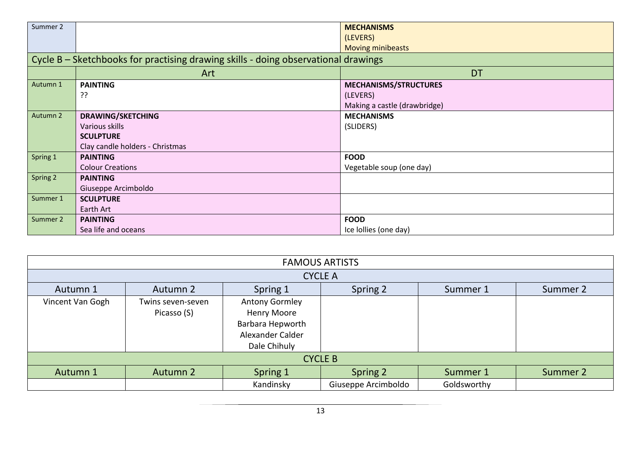| Summer 2 |                                                                                                   | <b>MECHANISMS</b><br>(LEVERS)<br><b>Moving minibeasts</b>                |
|----------|---------------------------------------------------------------------------------------------------|--------------------------------------------------------------------------|
|          | Cycle B – Sketchbooks for practising drawing skills - doing observational drawings                |                                                                          |
|          | Art                                                                                               | <b>DT</b>                                                                |
| Autumn 1 | <b>PAINTING</b><br>??                                                                             | <b>MECHANISMS/STRUCTURES</b><br>(LEVERS)<br>Making a castle (drawbridge) |
| Autumn 2 | <b>DRAWING/SKETCHING</b><br>Various skills<br><b>SCULPTURE</b><br>Clay candle holders - Christmas | <b>MECHANISMS</b><br>(SLIDERS)                                           |
| Spring 1 | <b>PAINTING</b><br><b>Colour Creations</b>                                                        | <b>FOOD</b><br>Vegetable soup (one day)                                  |
| Spring 2 | <b>PAINTING</b><br>Giuseppe Arcimboldo                                                            |                                                                          |
| Summer 1 | <b>SCULPTURE</b><br>Earth Art                                                                     |                                                                          |
| Summer 2 | <b>PAINTING</b><br>Sea life and oceans                                                            | <b>FOOD</b><br>Ice Iollies (one day)                                     |

| <b>FAMOUS ARTISTS</b> |                   |                                        |                     |             |          |  |  |  |
|-----------------------|-------------------|----------------------------------------|---------------------|-------------|----------|--|--|--|
| <b>CYCLE A</b>        |                   |                                        |                     |             |          |  |  |  |
| Autumn 1              | Autumn 2          | Spring 1                               | Spring 2            | Summer 1    | Summer 2 |  |  |  |
| Vincent Van Gogh      | Twins seven-seven | <b>Antony Gormley</b>                  |                     |             |          |  |  |  |
|                       | Picasso (S)       | <b>Henry Moore</b><br>Barbara Hepworth |                     |             |          |  |  |  |
|                       |                   | Alexander Calder                       |                     |             |          |  |  |  |
|                       |                   | Dale Chihuly                           |                     |             |          |  |  |  |
| <b>CYCLE B</b>        |                   |                                        |                     |             |          |  |  |  |
| Autumn 1              | Autumn 2          | Spring 1                               | Spring 2            | Summer 1    | Summer 2 |  |  |  |
|                       |                   | Kandinsky                              | Giuseppe Arcimboldo | Goldsworthy |          |  |  |  |